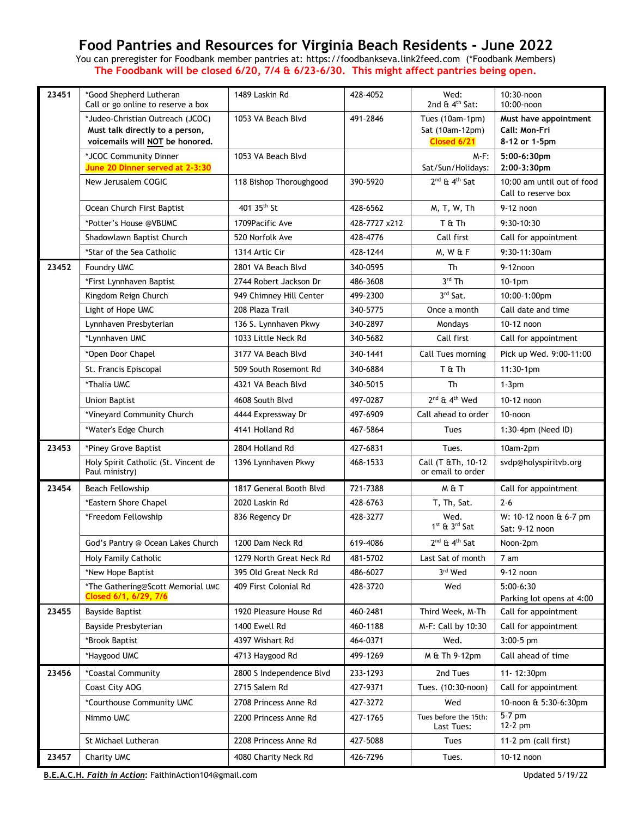## **Food Pantries and Resources for Virginia Beach Residents - June 2022**

You can preregister for Foodbank member pantries at: [https://foodbankseva.link2feed.com](https://foodbankseva.link2feed.com/)(\*Foodbank Members) **The Foodbank will be closed 6/20, 7/4 & 6/23-6/30. This might affect pantries being open.** 

| 23451 | *Good Shepherd Lutheran<br>Call or go online to reserve a box                                          | 1489 Laskin Rd           | 428-4052      | Wed:<br>2nd $\&$ 4 <sup>th</sup> Sat:             | 10:30-noon<br>10:00-noon                                |
|-------|--------------------------------------------------------------------------------------------------------|--------------------------|---------------|---------------------------------------------------|---------------------------------------------------------|
|       | *Judeo-Christian Outreach (JCOC)<br>Must talk directly to a person,<br>voicemails will NOT be honored. | 1053 VA Beach Blvd       | 491-2846      | Tues (10am-1pm)<br>Sat (10am-12pm)<br>Closed 6/21 | Must have appointment<br>Call: Mon-Fri<br>8-12 or 1-5pm |
|       | *JCOC Community Dinner<br>June 20 Dinner served at 2-3:30                                              | 1053 VA Beach Blvd       |               | $M-F$ :<br>Sat/Sun/Holidays:                      | 5:00-6:30pm<br>2:00-3:30pm                              |
|       | New Jerusalem COGIC                                                                                    | 118 Bishop Thoroughgood  | 390-5920      | $2^{nd}$ & $4^{th}$ Sat                           | 10:00 am until out of food<br>Call to reserve box       |
|       | Ocean Church First Baptist                                                                             | 401 35 <sup>th</sup> St  | 428-6562      | M, T, W, Th                                       | 9-12 noon                                               |
|       | *Potter's House @VBUMC                                                                                 | 1709 Pacific Ave         | 428-7727 x212 | T & Th                                            | $9:30-10:30$                                            |
|       | Shadowlawn Baptist Church                                                                              | 520 Norfolk Ave          | 428-4776      | Call first                                        | Call for appointment                                    |
|       | *Star of the Sea Catholic                                                                              | 1314 Artic Cir           | 428-1244      | M, W & F                                          | 9:30-11:30am                                            |
| 23452 | <b>Foundry UMC</b>                                                                                     | 2801 VA Beach Blvd       | 340-0595      | Th                                                | $9-12$ noon                                             |
|       | *First Lynnhaven Baptist                                                                               | 2744 Robert Jackson Dr   | 486-3608      | 3rd Th                                            | $10-1$ pm                                               |
|       | Kingdom Reign Church                                                                                   | 949 Chimney Hill Center  | 499-2300      | 3rd Sat.                                          | 10:00-1:00pm                                            |
|       | Light of Hope UMC                                                                                      | 208 Plaza Trail          | 340-5775      | Once a month                                      | Call date and time                                      |
|       | Lynnhaven Presbyterian                                                                                 | 136 S. Lynnhaven Pkwy    | 340-2897      | Mondays                                           | 10-12 noon                                              |
|       | *Lynnhaven UMC                                                                                         | 1033 Little Neck Rd      | 340-5682      | Call first                                        | Call for appointment                                    |
|       | *Open Door Chapel                                                                                      | 3177 VA Beach Blvd       | 340-1441      | Call Tues morning                                 | Pick up Wed. 9:00-11:00                                 |
|       | St. Francis Episcopal                                                                                  | 509 South Rosemont Rd    | 340-6884      | T & Th                                            | $11:30-1$ pm                                            |
|       | *Thalia UMC                                                                                            | 4321 VA Beach Blvd       | 340-5015      | Th                                                | $1-3$ pm                                                |
|       | <b>Union Baptist</b>                                                                                   | 4608 South Blvd          | 497-0287      | 2 <sup>nd</sup> & 4 <sup>th</sup> Wed             | 10-12 noon                                              |
|       | *Vineyard Community Church                                                                             | 4444 Expressway Dr       | 497-6909      | Call ahead to order                               | 10-noon                                                 |
|       | *Water's Edge Church                                                                                   | 4141 Holland Rd          | 467-5864      | Tues                                              | 1:30-4pm (Need ID)                                      |
| 23453 | *Piney Grove Baptist                                                                                   | 2804 Holland Rd          | 427-6831      | Tues.                                             | 10am-2pm                                                |
|       | Holy Spirit Catholic (St. Vincent de<br>Paul ministry)                                                 | 1396 Lynnhaven Pkwy      | 468-1533      | Call (T &Th, 10-12<br>or email to order           | svdp@holyspiritvb.org                                   |
| 23454 | <b>Beach Fellowship</b>                                                                                | 1817 General Booth Blvd  | 721-7388      | М&Т                                               | Call for appointment                                    |
|       | *Eastern Shore Chapel                                                                                  | 2020 Laskin Rd           | 428-6763      | T, Th, Sat.                                       | $2 - 6$                                                 |
|       | *Freedom Fellowship                                                                                    | 836 Regency Dr           | 428-3277      | Wed.<br>1st & 3rd Sat                             | W: 10-12 noon & 6-7 pm<br>Sat: 9-12 noon                |
|       | God's Pantry @ Ocean Lakes Church                                                                      | 1200 Dam Neck Rd         | 619-4086      | 2 <sup>nd</sup> & 4 <sup>th</sup> Sat             | Noon-2pm                                                |
|       | Holy Family Catholic                                                                                   | 1279 North Great Neck Rd | 481-5702      | Last Sat of month                                 | 7 am                                                    |
|       | *New Hope Baptist                                                                                      | 395 Old Great Neck Rd    | 486-6027      | 3rd Wed                                           | 9-12 noon                                               |
|       | *The Gathering@Scott Memorial UMC<br>Closed 6/1, 6/29, 7/6                                             | 409 First Colonial Rd    | 428-3720      | Wed                                               | $5:00-6:30$<br>Parking lot opens at 4:00                |
| 23455 | <b>Bayside Baptist</b>                                                                                 | 1920 Pleasure House Rd   | 460-2481      | Third Week, M-Th                                  | Call for appointment                                    |
|       | Bayside Presbyterian                                                                                   | 1400 Ewell Rd            | 460-1188      | M-F: Call by 10:30                                | Call for appointment                                    |
|       | *Brook Baptist                                                                                         | 4397 Wishart Rd          | 464-0371      | Wed.                                              | $3:00-5$ pm                                             |
|       | *Haygood UMC                                                                                           | 4713 Haygood Rd          | 499-1269      | M & Th 9-12pm                                     | Call ahead of time                                      |
| 23456 | *Coastal Community                                                                                     | 2800 S Independence Blvd | 233-1293      | 2nd Tues                                          | 11-12:30pm                                              |
|       | Coast City AOG                                                                                         | 2715 Salem Rd            | 427-9371      | Tues. (10:30-noon)                                | Call for appointment                                    |
|       | *Courthouse Community UMC                                                                              | 2708 Princess Anne Rd    | 427-3272      | Wed                                               | 10-noon & 5:30-6:30pm                                   |
|       | Nimmo UMC                                                                                              | 2200 Princess Anne Rd    | 427-1765      | Tues before the 15th:<br>Last Tues:               | 5-7 pm<br>12-2 pm                                       |
|       | St Michael Lutheran                                                                                    | 2208 Princess Anne Rd    | 427-5088      | Tues                                              | 11-2 pm (call first)                                    |
| 23457 | Charity UMC                                                                                            | 4080 Charity Neck Rd     | 426-7296      | Tues.                                             | 10-12 noon                                              |